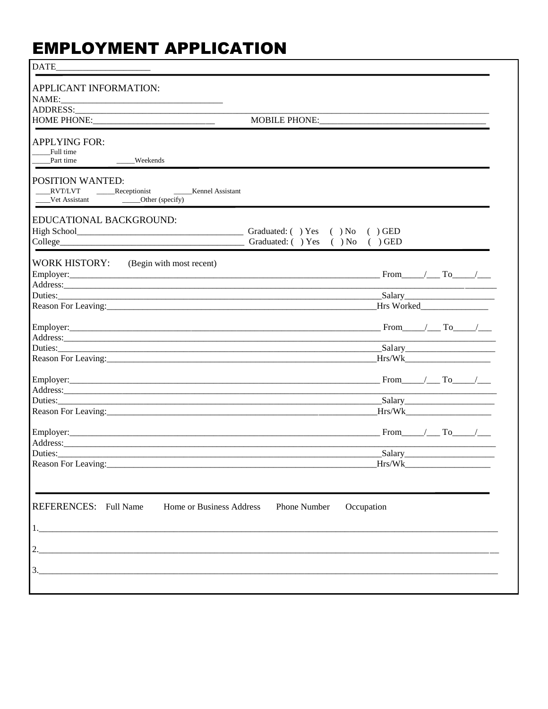## **EMPLOYMENT APPLICATION**

| APPLICANT INFORMATION:                                                                                                                                                                                                        |                                                                                                                 |
|-------------------------------------------------------------------------------------------------------------------------------------------------------------------------------------------------------------------------------|-----------------------------------------------------------------------------------------------------------------|
| HOME PHONE:______________________________<br><b>MOBILE PHONE:</b>                                                                                                                                                             |                                                                                                                 |
|                                                                                                                                                                                                                               |                                                                                                                 |
| <b>APPLYING FOR:</b><br>Full time                                                                                                                                                                                             |                                                                                                                 |
| Part time<br>Weekends                                                                                                                                                                                                         |                                                                                                                 |
| POSITION WANTED:                                                                                                                                                                                                              |                                                                                                                 |
| _____Kennel Assistant<br>RVT/LVT Receptionist<br>Vet Assistant ________________Other (specify)                                                                                                                                |                                                                                                                 |
| EDUCATIONAL BACKGROUND:                                                                                                                                                                                                       |                                                                                                                 |
| Graduated: () Yes () No () GED<br>Graduated: () Yes () No () GED<br>College                                                                                                                                                   |                                                                                                                 |
|                                                                                                                                                                                                                               |                                                                                                                 |
| WORK HISTORY: (Begin with most recent)                                                                                                                                                                                        | From $/$ To $/$                                                                                                 |
|                                                                                                                                                                                                                               |                                                                                                                 |
|                                                                                                                                                                                                                               |                                                                                                                 |
|                                                                                                                                                                                                                               |                                                                                                                 |
|                                                                                                                                                                                                                               | $From$ $\qquad$ $To$ $\qquad$                                                                                   |
|                                                                                                                                                                                                                               | the control of the control of the control of                                                                    |
|                                                                                                                                                                                                                               |                                                                                                                 |
|                                                                                                                                                                                                                               |                                                                                                                 |
|                                                                                                                                                                                                                               | $From \t / To \t /$                                                                                             |
|                                                                                                                                                                                                                               |                                                                                                                 |
|                                                                                                                                                                                                                               | Salary                                                                                                          |
|                                                                                                                                                                                                                               | Hrs/Wk                                                                                                          |
|                                                                                                                                                                                                                               |                                                                                                                 |
|                                                                                                                                                                                                                               |                                                                                                                 |
| Duties: Note and the contract of the contract of the contract of the contract of the contract of the contract of the contract of the contract of the contract of the contract of the contract of the contract of the contract | Salary and the Salary and the Salary and the Salary and the Salary and the Salary and the Salary and the Salary |
| Reason For Leaving:                                                                                                                                                                                                           | Hrs/Wk                                                                                                          |
|                                                                                                                                                                                                                               |                                                                                                                 |
| REFERENCES: Full Name<br>Home or Business Address<br>Phone Number                                                                                                                                                             | Occupation                                                                                                      |
| 1.                                                                                                                                                                                                                            |                                                                                                                 |
| 2.                                                                                                                                                                                                                            |                                                                                                                 |
|                                                                                                                                                                                                                               |                                                                                                                 |
|                                                                                                                                                                                                                               |                                                                                                                 |